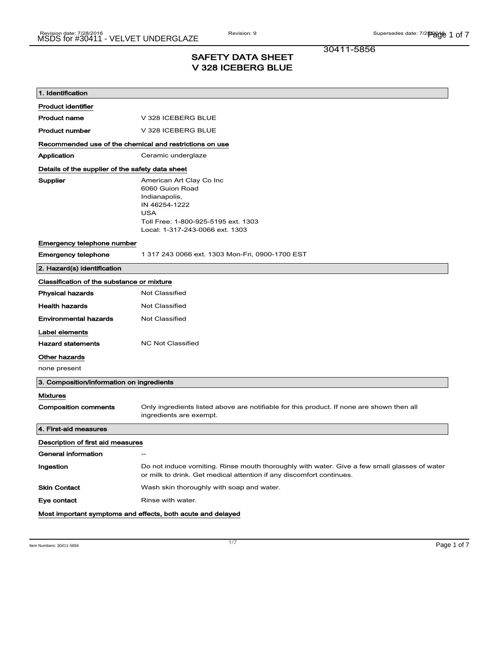30411-5856

### SAFETY DATA SHEET V 328 ICEBERG BLUE

| 1. Identification                                       |                                                                                                                                                                       |
|---------------------------------------------------------|-----------------------------------------------------------------------------------------------------------------------------------------------------------------------|
|                                                         |                                                                                                                                                                       |
| <b>Product identifier</b>                               |                                                                                                                                                                       |
| <b>Product name</b>                                     | V 328 ICEBERG BLUE                                                                                                                                                    |
| <b>Product number</b>                                   | V 328 ICEBERG BLUE                                                                                                                                                    |
| Recommended use of the chemical and restrictions on use |                                                                                                                                                                       |
| Application                                             | Ceramic underglaze                                                                                                                                                    |
| Details of the supplier of the safety data sheet        |                                                                                                                                                                       |
| Supplier                                                | American Art Clay Co Inc<br>6060 Guion Road<br>Indianapolis,<br>IN 46254-1222<br><b>USA</b><br>Toll Free: 1-800-925-5195 ext. 1303<br>Local: 1-317-243-0066 ext. 1303 |
| Emergency telephone number                              |                                                                                                                                                                       |
| <b>Emergency telephone</b>                              | 1 317 243 0066 ext. 1303 Mon-Fri, 0900-1700 EST                                                                                                                       |
| 2. Hazard(s) identification                             |                                                                                                                                                                       |
| Classification of the substance or mixture              |                                                                                                                                                                       |
| <b>Physical hazards</b>                                 | Not Classified                                                                                                                                                        |
| <b>Health hazards</b>                                   | <b>Not Classified</b>                                                                                                                                                 |
| <b>Environmental hazards</b>                            | Not Classified                                                                                                                                                        |
| Label elements                                          |                                                                                                                                                                       |
| <b>Hazard statements</b>                                | <b>NC Not Classified</b>                                                                                                                                              |
| Other hazards                                           |                                                                                                                                                                       |
| none present                                            |                                                                                                                                                                       |
| 3. Composition/information on ingredients               |                                                                                                                                                                       |
| <b>Mixtures</b>                                         |                                                                                                                                                                       |
| <b>Composition comments</b>                             | Only ingredients listed above are notifiable for this product. If none are shown then all<br>ingredients are exempt.                                                  |
| 4. First-aid measures                                   |                                                                                                                                                                       |
| Description of first aid measures                       |                                                                                                                                                                       |
| General information                                     | $\hspace{0.05cm}$                                                                                                                                                     |
| Ingestion                                               | Do not induce vomiting. Rinse mouth thoroughly with water. Give a few small glasses of water<br>or milk to drink. Get medical attention if any discomfort continues.  |
| <b>Skin Contact</b>                                     | Wash skin thoroughly with soap and water.                                                                                                                             |
| Eye contact                                             | Rinse with water.                                                                                                                                                     |
|                                                         | Most important symptoms and effects, both acute and delayed                                                                                                           |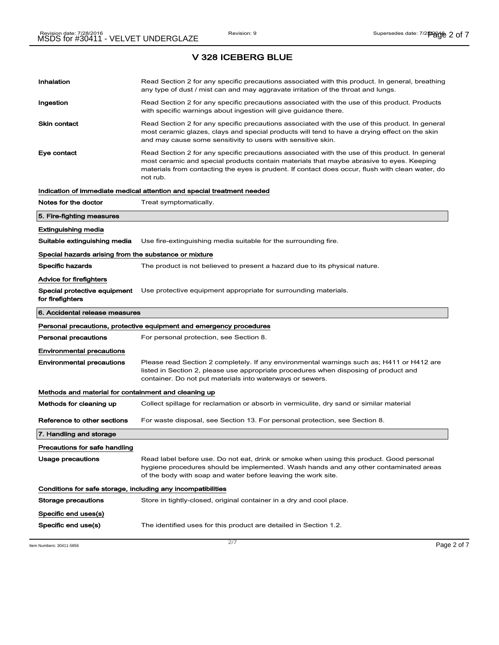| Inhalation                                                   | Read Section 2 for any specific precautions associated with this product. In general, breathing<br>any type of dust / mist can and may aggravate irritation of the throat and lungs.                                                                                                                        |  |
|--------------------------------------------------------------|-------------------------------------------------------------------------------------------------------------------------------------------------------------------------------------------------------------------------------------------------------------------------------------------------------------|--|
| Ingestion                                                    | Read Section 2 for any specific precautions associated with the use of this product. Products<br>with specific warnings about ingestion will give guidance there.                                                                                                                                           |  |
| <b>Skin contact</b>                                          | Read Section 2 for any specific precautions associated with the use of this product. In general<br>most ceramic glazes, clays and special products will tend to have a drying effect on the skin<br>and may cause some sensitivity to users with sensitive skin.                                            |  |
| Eye contact                                                  | Read Section 2 for any specific precautions associated with the use of this product. In general<br>most ceramic and special products contain materials that maybe abrasive to eyes. Keeping<br>materials from contacting the eyes is prudent. If contact does occur, flush with clean water, do<br>not rub. |  |
|                                                              | Indication of immediate medical attention and special treatment needed                                                                                                                                                                                                                                      |  |
| Notes for the doctor                                         | Treat symptomatically.                                                                                                                                                                                                                                                                                      |  |
| 5. Fire-fighting measures                                    |                                                                                                                                                                                                                                                                                                             |  |
| Extinguishing media                                          |                                                                                                                                                                                                                                                                                                             |  |
| Suitable extinguishing media                                 | Use fire-extinguishing media suitable for the surrounding fire.                                                                                                                                                                                                                                             |  |
| Special hazards arising from the substance or mixture        |                                                                                                                                                                                                                                                                                                             |  |
| <b>Specific hazards</b>                                      | The product is not believed to present a hazard due to its physical nature.                                                                                                                                                                                                                                 |  |
| Advice for firefighters                                      |                                                                                                                                                                                                                                                                                                             |  |
| Special protective equipment<br>for firefighters             | Use protective equipment appropriate for surrounding materials.                                                                                                                                                                                                                                             |  |
| 6. Accidental release measures                               |                                                                                                                                                                                                                                                                                                             |  |
|                                                              |                                                                                                                                                                                                                                                                                                             |  |
|                                                              | Personal precautions, protective equipment and emergency procedures                                                                                                                                                                                                                                         |  |
| <b>Personal precautions</b>                                  | For personal protection, see Section 8.                                                                                                                                                                                                                                                                     |  |
| <b>Environmental precautions</b>                             |                                                                                                                                                                                                                                                                                                             |  |
| <b>Environmental precautions</b>                             | Please read Section 2 completely. If any environmental warnings such as; H411 or H412 are<br>listed in Section 2, please use appropriate procedures when disposing of product and<br>container. Do not put materials into waterways or sewers.                                                              |  |
| Methods and material for containment and cleaning up         |                                                                                                                                                                                                                                                                                                             |  |
| Methods for cleaning up                                      | Collect spillage for reclamation or absorb in vermiculite, dry sand or similar material                                                                                                                                                                                                                     |  |
| Reference to other sections                                  | For waste disposal, see Section 13. For personal protection, see Section 8.                                                                                                                                                                                                                                 |  |
| 7. Handling and storage                                      |                                                                                                                                                                                                                                                                                                             |  |
| Precautions for safe handling                                |                                                                                                                                                                                                                                                                                                             |  |
| <b>Usage precautions</b>                                     | Read label before use. Do not eat, drink or smoke when using this product. Good personal<br>hygiene procedures should be implemented. Wash hands and any other contaminated areas<br>of the body with soap and water before leaving the work site.                                                          |  |
| Conditions for safe storage, including any incompatibilities |                                                                                                                                                                                                                                                                                                             |  |
| Storage precautions                                          | Store in tightly-closed, original container in a dry and cool place.                                                                                                                                                                                                                                        |  |
| Specific end uses(s)                                         |                                                                                                                                                                                                                                                                                                             |  |

Item Numbers: 30411-5856 Page 2 of 7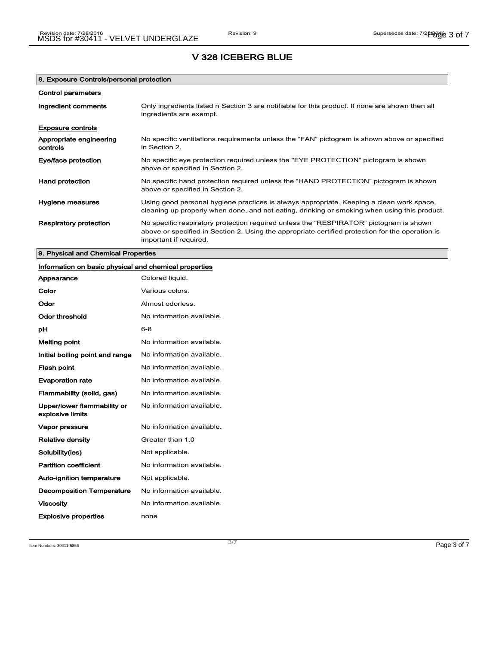| 8. Exposure Controls/personal protection |                                                                                                                                                                                                                      |
|------------------------------------------|----------------------------------------------------------------------------------------------------------------------------------------------------------------------------------------------------------------------|
| <b>Control parameters</b>                |                                                                                                                                                                                                                      |
| Ingredient comments                      | Only ingredients listed n Section 3 are notifiable for this product. If none are shown then all<br>ingredients are exempt.                                                                                           |
| <b>Exposure controls</b>                 |                                                                                                                                                                                                                      |
| Appropriate engineering<br>controls      | No specific ventilations requirements unless the "FAN" pictogram is shown above or specified<br>in Section 2.                                                                                                        |
| Eye/face protection                      | No specific eye protection required unless the "EYE PROTECTION" pictogram is shown<br>above or specified in Section 2.                                                                                               |
| <b>Hand protection</b>                   | No specific hand protection required unless the "HAND PROTECTION" pictogram is shown<br>above or specified in Section 2.                                                                                             |
| Hygiene measures                         | Using good personal hygiene practices is always appropriate. Keeping a clean work space,<br>cleaning up properly when done, and not eating, drinking or smoking when using this product.                             |
| <b>Respiratory protection</b>            | No specific respiratory protection required unless the "RESPIRATOR" pictogram is shown<br>above or specified in Section 2. Using the appropriate certified protection for the operation is<br>important if required. |

9. Physical and Chemical Properties

### Information on basic physical and chemical properties

| Appearance                                      | Colored liquid.           |
|-------------------------------------------------|---------------------------|
| Color                                           | Various colors.           |
| Odor                                            | Almost odorless.          |
| <b>Odor threshold</b>                           | No information available. |
| рH                                              | $6 - 8$                   |
| <b>Melting point</b>                            | No information available. |
| Initial boiling point and range                 | No information available. |
| <b>Flash point</b>                              | No information available. |
| <b>Evaporation rate</b>                         | No information available. |
| Flammability (solid, gas)                       | No information available. |
| Upper/lower flammability or<br>explosive limits | No information available. |
| Vapor pressure                                  | No information available. |
| <b>Relative density</b>                         | Greater than 1.0          |
| Solubility(ies)                                 | Not applicable.           |
| <b>Partition coefficient</b>                    | No information available. |
| Auto-ignition temperature                       | Not applicable.           |
| <b>Decomposition Temperature</b>                | No information available. |
| <b>Viscosity</b>                                | No information available. |
| <b>Explosive properties</b>                     | none                      |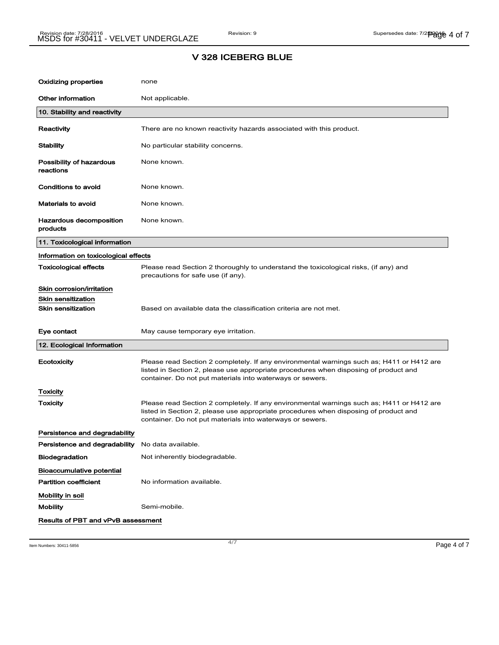| Oxidizing properties                             | none                                                                                                                                                                                                                                           |
|--------------------------------------------------|------------------------------------------------------------------------------------------------------------------------------------------------------------------------------------------------------------------------------------------------|
| Other information                                | Not applicable.                                                                                                                                                                                                                                |
| 10. Stability and reactivity                     |                                                                                                                                                                                                                                                |
| Reactivity                                       | There are no known reactivity hazards associated with this product.                                                                                                                                                                            |
| Stability                                        | No particular stability concerns.                                                                                                                                                                                                              |
| Possibility of hazardous<br>reactions            | None known.                                                                                                                                                                                                                                    |
| Conditions to avoid                              | None known.                                                                                                                                                                                                                                    |
| Materials to avoid                               | None known.                                                                                                                                                                                                                                    |
| Hazardous decomposition<br>products              | None known.                                                                                                                                                                                                                                    |
| 11. Toxicological information                    |                                                                                                                                                                                                                                                |
| Information on toxicological effects             |                                                                                                                                                                                                                                                |
| Toxicological effects                            | Please read Section 2 thoroughly to understand the toxicological risks, (if any) and<br>precautions for safe use (if any).                                                                                                                     |
| Skin corrosion/irritation                        |                                                                                                                                                                                                                                                |
| Skin sensitization                               |                                                                                                                                                                                                                                                |
| <b>Skin sensitization</b>                        | Based on available data the classification criteria are not met.                                                                                                                                                                               |
| Eye contact                                      | May cause temporary eye irritation.                                                                                                                                                                                                            |
| 12. Ecological Information                       |                                                                                                                                                                                                                                                |
| Ecotoxicity                                      | Please read Section 2 completely. If any environmental warnings such as; H411 or H412 are<br>listed in Section 2, please use appropriate procedures when disposing of product and<br>container. Do not put materials into waterways or sewers. |
| Toxicity                                         |                                                                                                                                                                                                                                                |
| <b>Toxicity</b>                                  | Please read Section 2 completely. If any environmental warnings such as; H411 or H412 are<br>listed in Section 2, please use appropriate procedures when disposing of product and<br>container. Do not put materials into waterways or sewers. |
| Persistence and degradability                    |                                                                                                                                                                                                                                                |
| Persistence and degradability No data available. |                                                                                                                                                                                                                                                |
| <b>Biodegradation</b>                            | Not inherently biodegradable.                                                                                                                                                                                                                  |
| <b>Bioaccumulative potential</b>                 |                                                                                                                                                                                                                                                |
| <b>Partition coefficient</b>                     | No information available.                                                                                                                                                                                                                      |
| Mobility in soil                                 |                                                                                                                                                                                                                                                |
| <b>Mobility</b>                                  | Semi-mobile.                                                                                                                                                                                                                                   |
| Results of PBT and vPvB assessment               |                                                                                                                                                                                                                                                |

Item Numbers: 30411-5856 Page 4 of  $\overline{7}$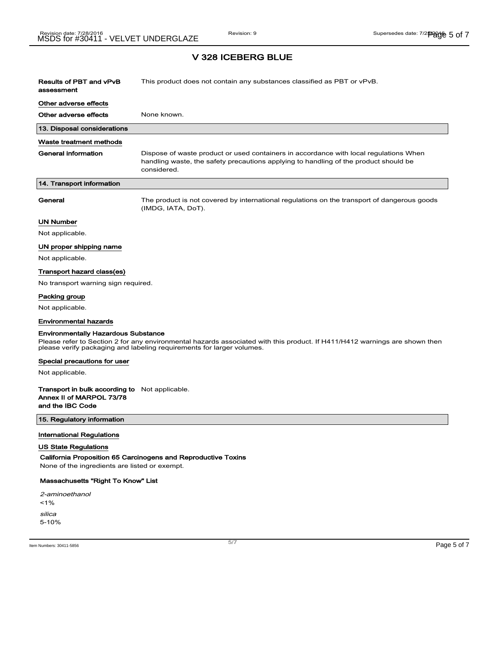| <b>Results of PBT and vPvB</b><br>assessment                                                                                                                                                                                                      | This product does not contain any substances classified as PBT or vPvB.                                                                                                                      |
|---------------------------------------------------------------------------------------------------------------------------------------------------------------------------------------------------------------------------------------------------|----------------------------------------------------------------------------------------------------------------------------------------------------------------------------------------------|
| Other adverse effects                                                                                                                                                                                                                             |                                                                                                                                                                                              |
| Other adverse effects                                                                                                                                                                                                                             | None known.                                                                                                                                                                                  |
| 13. Disposal considerations                                                                                                                                                                                                                       |                                                                                                                                                                                              |
| Waste treatment methods                                                                                                                                                                                                                           |                                                                                                                                                                                              |
| <b>General information</b>                                                                                                                                                                                                                        | Dispose of waste product or used containers in accordance with local regulations When<br>handling waste, the safety precautions applying to handling of the product should be<br>considered. |
| 14. Transport information                                                                                                                                                                                                                         |                                                                                                                                                                                              |
| General                                                                                                                                                                                                                                           | The product is not covered by international regulations on the transport of dangerous goods<br>(IMDG, IATA, DoT).                                                                            |
| <b>UN Number</b>                                                                                                                                                                                                                                  |                                                                                                                                                                                              |
| Not applicable.                                                                                                                                                                                                                                   |                                                                                                                                                                                              |
| UN proper shipping name                                                                                                                                                                                                                           |                                                                                                                                                                                              |
| Not applicable.                                                                                                                                                                                                                                   |                                                                                                                                                                                              |
| Transport hazard class(es)                                                                                                                                                                                                                        |                                                                                                                                                                                              |
| No transport warning sign required.                                                                                                                                                                                                               |                                                                                                                                                                                              |
| Packing group                                                                                                                                                                                                                                     |                                                                                                                                                                                              |
| Not applicable.                                                                                                                                                                                                                                   |                                                                                                                                                                                              |
| <b>Environmental hazards</b>                                                                                                                                                                                                                      |                                                                                                                                                                                              |
| <b>Environmentally Hazardous Substance</b><br>Please refer to Section 2 for any environmental hazards associated with this product. If H411/H412 warnings are shown then<br>please verify packaging and labeling requirements for larger volumes. |                                                                                                                                                                                              |
| Special precautions for user                                                                                                                                                                                                                      |                                                                                                                                                                                              |
| Not applicable.                                                                                                                                                                                                                                   |                                                                                                                                                                                              |
| <b>Transport in bulk according to</b> Not applicable.<br>Annex II of MARPOL 73/78<br>and the IBC Code                                                                                                                                             |                                                                                                                                                                                              |
| 15. Regulatory information                                                                                                                                                                                                                        |                                                                                                                                                                                              |

### International Regulations

#### US State Regulations

California Proposition 65 Carcinogens and Reproductive Toxins

None of the ingredients are listed or exempt.

### Massachusetts "Right To Know" List

2-aminoethanol  $1%$ silica 5-10%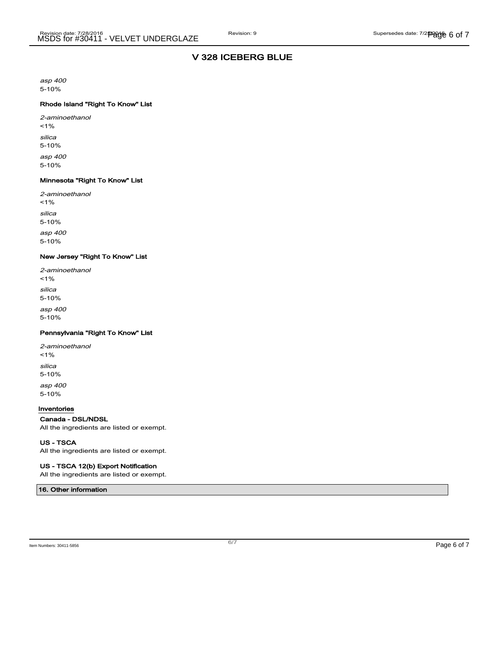asp 400 5-10%

### Rhode Island "Right To Know" List

2-aminoethanol  $1%$ silica 5-10% asp 400 5-10%

#### Minnesota "Right To Know" List

2-aminoethanol  $1%$ silica 5-10% asp 400 5-10%

#### New Jersey "Right To Know" List

| 2-aminoethanol<br>$1\%$ |
|-------------------------|
| silica<br>$5 - 10%$     |
| asp 400<br>$5 - 10%$    |

#### Pennsylvania "Right To Know" List

| 2-aminoethanol<br>$1\%$ |
|-------------------------|
| silica<br>$5 - 10%$     |
| asp 400<br>$5 - 10%$    |

#### Inventories

Canada - DSL/NDSL All the ingredients are listed or exempt.

US - TSCA

All the ingredients are listed or exempt.

#### US - TSCA 12(b) Export Notification

All the ingredients are listed or exempt.

16. Other information